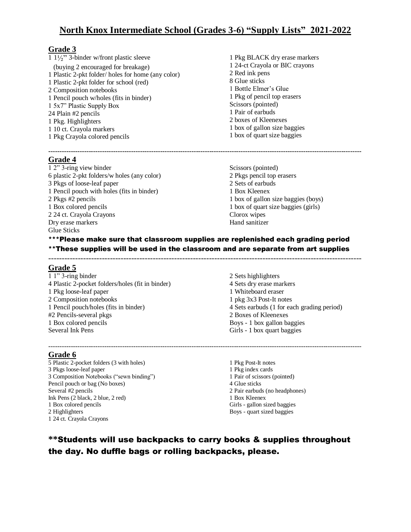# **North Knox Intermediate School (Grades 3-6) "Supply Lists" 2021-2022**

#### **Grade 3**

 $\frac{1}{1}$   $\frac{1}{2}$ " 3-binder w/front plastic sleeve (buying 2 encouraged for breakage) 1 Plastic 2-pkt folder/ holes for home (any color) 1 Plastic 2-pkt folder for school (red) 2 Composition notebooks 1 Pencil pouch w/holes (fits in binder) 1 5x7" Plastic Supply Box 24 Plain #2 pencils 1 Pkg. Highlighters 1 10 ct. Crayola markers 1 Pkg Crayola colored pencils

1 Pkg BLACK dry erase markers 1 24-ct Crayola or BIC crayons 2 Red ink pens 8 Glue sticks 1 Bottle Elmer's Glue 1 Pkg of pencil top erasers Scissors (pointed) 1 Pair of earbuds 2 boxes of Kleenexes 1 box of gallon size baggies 1 box of quart size baggies

**-------------------------------------------------------------------------------------------------------------------------------------------- Grade 4** 

1 2" 3-ring view binder 6 plastic 2-pkt folders/w holes (any color) 3 Pkgs of loose-leaf paper 1 Pencil pouch with holes (fits in binder) 2 Pkgs #2 pencils 1 Box colored pencils 2 24 ct. Crayola Crayons Dry erase markers Glue Sticks

Scissors (pointed) 2 Pkgs pencil top erasers 2 Sets of earbuds 1 Box Kleenex 1 box of gallon size baggies (boys) 1 box of quart size baggies (girls) Clorox wipes Hand sanitizer

### \*\*\*Please make sure that classroom supplies are replenished each grading period \*\*These supplies will be used in the classroom and are separate from art supplies

---------------------------------------------------------------------------------------------------------------------

#### **Grade 5**

1 1" 3-ring binder 4 Plastic 2-pocket folders/holes (fit in binder) 1 Pkg loose-leaf paper 2 Composition notebooks 1 Pencil pouch/holes (fits in binder) #2 Pencils-several pkgs 1 Box colored pencils Several Ink Pens

#### **Grade 6**

5 Plastic 2-pocket folders (3 with holes) 3 Pkgs loose-leaf paper 3 Composition Notebooks ("sewn binding") Pencil pouch or bag (No boxes) Several #2 pencils Ink Pens (2 black, 2 blue, 2 red) 1 Box colored pencils 2 Highlighters 1 24 ct. Crayola Crayons

2 Sets highlighters 4 Sets dry erase markers 1 Whiteboard eraser 1 pkg 3x3 Post-It notes 4 Sets earbuds (1 for each grading period) 2 Boxes of Kleenexes Boys - 1 box gallon baggies Girls - 1 box quart baggies

--------------------------------------------------------------------------------------------------------------------------------------------

1 Pkg Post-It notes 1 Pkg index cards 1 Pair of scissors (pointed) 4 Glue sticks 2 Pair earbuds (no headphones) 1 Box Kleenex Girls - gallon sized baggies Boys - quart sized baggies

# **\*\***Students will use backpacks to carry books & supplies throughout the day. No duffle bags or rolling backpacks, please.